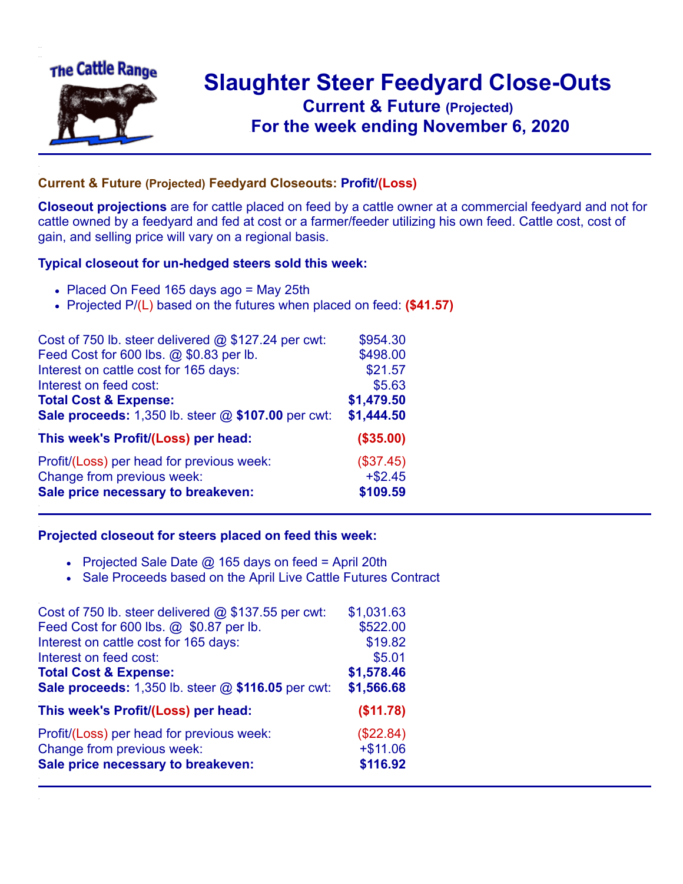

## **Slaughter Steer Feedyard Close-Outs Current & Future (Projected)** .**For the week ending November 6, 2020**

## **Current & Future (Projected) Feedyard Closeouts: Profit/(Loss)**

**Closeout projections** are for cattle placed on feed by a cattle owner at a commercial feedyard and not for cattle owned by a feedyard and fed at cost or a farmer/feeder utilizing his own feed. Cattle cost, cost of gain, and selling price will vary on a regional basis.

## **Typical closeout for un-hedged steers sold this week:**

- Placed On Feed 165 days ago = May 25th
- Projected P/(L) based on the futures when placed on feed: **(\$41.57)**

| Cost of 750 lb. steer delivered $@$ \$127.24 per cwt: | \$954.30   |
|-------------------------------------------------------|------------|
| Feed Cost for 600 lbs. @ \$0.83 per lb.               | \$498.00   |
| Interest on cattle cost for 165 days:                 | \$21.57    |
| Interest on feed cost:                                | \$5.63     |
| <b>Total Cost &amp; Expense:</b>                      | \$1,479.50 |
| Sale proceeds: 1,350 lb. steer @ \$107.00 per cwt:    | \$1,444.50 |
| This week's Profit/(Loss) per head:                   | (\$35.00)  |
| Profit/(Loss) per head for previous week:             | (\$37.45)  |
| Change from previous week:                            | $+ $2.45$  |
| Sale price necessary to breakeven:                    | \$109.59   |

## **Projected closeout for steers placed on feed this week:**

- Projected Sale Date  $@$  165 days on feed = April 20th
- Sale Proceeds based on the April Live Cattle Futures Contract

| Cost of 750 lb. steer delivered $@$ \$137.55 per cwt: | \$1,031.63 |
|-------------------------------------------------------|------------|
| Feed Cost for 600 lbs. @ \$0.87 per lb.               | \$522.00   |
| Interest on cattle cost for 165 days:                 | \$19.82    |
| Interest on feed cost:                                | \$5.01     |
| <b>Total Cost &amp; Expense:</b>                      | \$1,578.46 |
| Sale proceeds: 1,350 lb. steer @ \$116.05 per cwt:    | \$1,566.68 |
| This week's Profit/(Loss) per head:                   | (\$11.78)  |
| Profit/(Loss) per head for previous week:             | (\$22.84)  |
| Change from previous week:                            | $+ $11.06$ |
| Sale price necessary to breakeven:                    | \$116.92   |